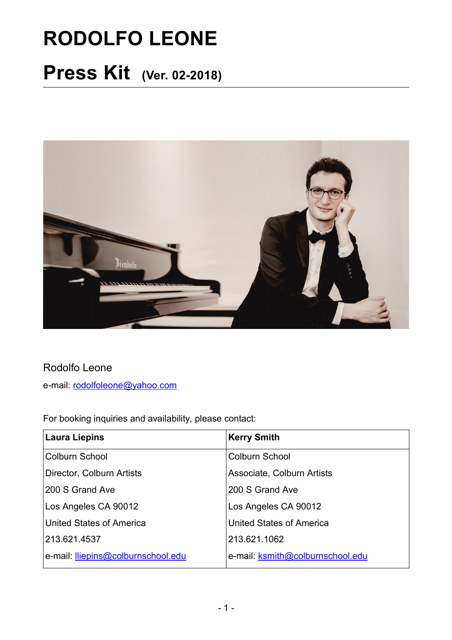# **RODOLFO LEONE**

## **Press Kit (Ver. 02-2018)**



#### Rodolfo Leone

e-mail: [rodolfoleone@yahoo.com](mailto:rodolfoleone@yahoo.com)

For booking inquiries and availability, please contact:

| <b>Laura Liepins</b>               | <b>Kerry Smith</b>               |
|------------------------------------|----------------------------------|
| <b>Colburn School</b>              | <b>Colburn School</b>            |
| Director, Colburn Artists          | Associate, Colburn Artists       |
| 200 S Grand Ave                    | 200 S Grand Ave                  |
| Los Angeles CA 90012               | Los Angeles CA 90012             |
| United States of America           | <b>United States of America</b>  |
| 213.621.4537                       | 213.621.1062                     |
| e-mail: lliepins@colburnschool.edu | e-mail: ksmith@colburnschool.edu |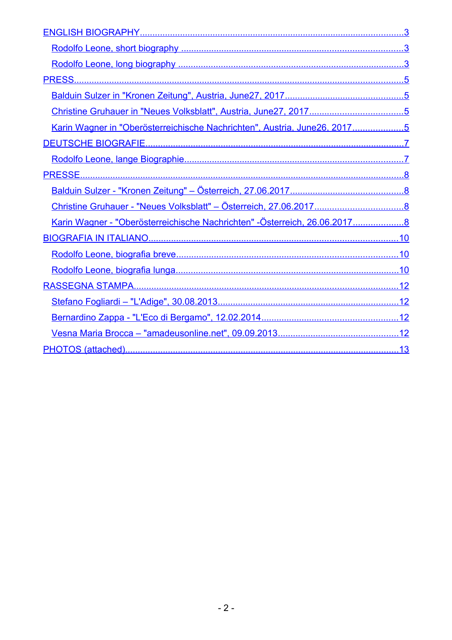| Christine Gruhauer in "Neues Volksblatt", Austria, June27, 20175          |  |
|---------------------------------------------------------------------------|--|
| Karin Wagner in "Oberösterreichische Nachrichten", Austria, June26, 20175 |  |
|                                                                           |  |
|                                                                           |  |
|                                                                           |  |
|                                                                           |  |
|                                                                           |  |
| Karin Wagner - "Oberösterreichische Nachrichten" -Österreich, 26.06.20178 |  |
|                                                                           |  |
|                                                                           |  |
|                                                                           |  |
|                                                                           |  |
|                                                                           |  |
|                                                                           |  |
|                                                                           |  |
|                                                                           |  |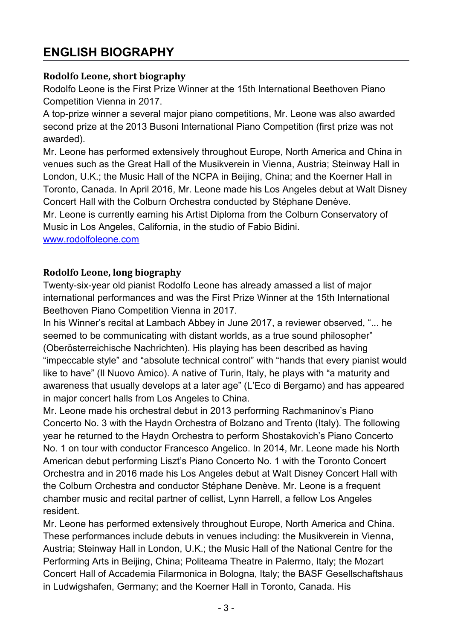## <span id="page-2-2"></span>**ENGLISH BIOGRAPHY**

#### <span id="page-2-1"></span>**Rodolfo Leone, short biography**

Rodolfo Leone is the First Prize Winner at the 15th International Beethoven Piano Competition Vienna in 2017.

A top-prize winner a several major piano competitions, Mr. Leone was also awarded second prize at the 2013 Busoni International Piano Competition (first prize was not awarded).

Mr. Leone has performed extensively throughout Europe, North America and China in venues such as the Great Hall of the Musikverein in Vienna, Austria; Steinway Hall in London, U.K.; the Music Hall of the NCPA in Beijing, China; and the Koerner Hall in Toronto, Canada. In April 2016, Mr. Leone made his Los Angeles debut at Walt Disney Concert Hall with the Colburn Orchestra conducted by Stéphane Denève.

Mr. Leone is currently earning his Artist Diploma from the Colburn Conservatory of Music in Los Angeles, California, in the studio of Fabio Bidini.

[www.rodolfoleone.com](http://www.rodolfoleone.com/)

#### <span id="page-2-0"></span>**Rodolfo Leone, long biography**

Twenty-six-year old pianist Rodolfo Leone has already amassed a list of major international performances and was the First Prize Winner at the 15th International Beethoven Piano Competition Vienna in 2017.

In his Winner's recital at Lambach Abbey in June 2017, a reviewer observed, "... he seemed to be communicating with distant worlds, as a true sound philosopher" (Oberösterreichische Nachrichten). His playing has been described as having "impeccable style" and "absolute technical control" with "hands that every pianist would like to have" (Il Nuovo Amico). A native of Turin, Italy, he plays with "a maturity and awareness that usually develops at a later age" (L'Eco di Bergamo) and has appeared in major concert halls from Los Angeles to China.

Mr. Leone made his orchestral debut in 2013 performing Rachmaninov's Piano Concerto No. 3 with the Haydn Orchestra of Bolzano and Trento (Italy). The following year he returned to the Haydn Orchestra to perform Shostakovich's Piano Concerto No. 1 on tour with conductor Francesco Angelico. In 2014, Mr. Leone made his North American debut performing Liszt's Piano Concerto No. 1 with the Toronto Concert Orchestra and in 2016 made his Los Angeles debut at Walt Disney Concert Hall with the Colburn Orchestra and conductor Stéphane Denève. Mr. Leone is a frequent chamber music and recital partner of cellist, Lynn Harrell, a fellow Los Angeles resident.

Mr. Leone has performed extensively throughout Europe, North America and China. These performances include debuts in venues including: the Musikverein in Vienna, Austria; Steinway Hall in London, U.K.; the Music Hall of the National Centre for the Performing Arts in Beijing, China; Politeama Theatre in Palermo, Italy; the Mozart Concert Hall of Accademia Filarmonica in Bologna, Italy; the BASF Gesellschaftshaus in Ludwigshafen, Germany; and the Koerner Hall in Toronto, Canada. His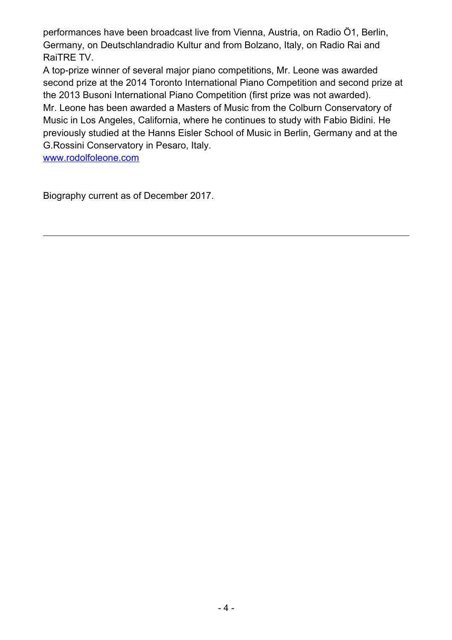performances have been broadcast live from Vienna, Austria, on Radio Ö1, Berlin, Germany, on Deutschlandradio Kultur and from Bolzano, Italy, on Radio Rai and RaiTRE TV.

A top-prize winner of several major piano competitions, Mr. Leone was awarded second prize at the 2014 Toronto International Piano Competition and second prize at the 2013 Busoni International Piano Competition (first prize was not awarded). Mr. Leone has been awarded a Masters of Music from the Colburn Conservatory of Music in Los Angeles, California, where he continues to study with Fabio Bidini. He previously studied at the Hanns Eisler School of Music in Berlin, Germany and at the G.Rossini Conservatory in Pesaro, Italy.

[www.rodolfoleone.com](http://www.rodolfoleone.com/)

Biography current as of December 2017.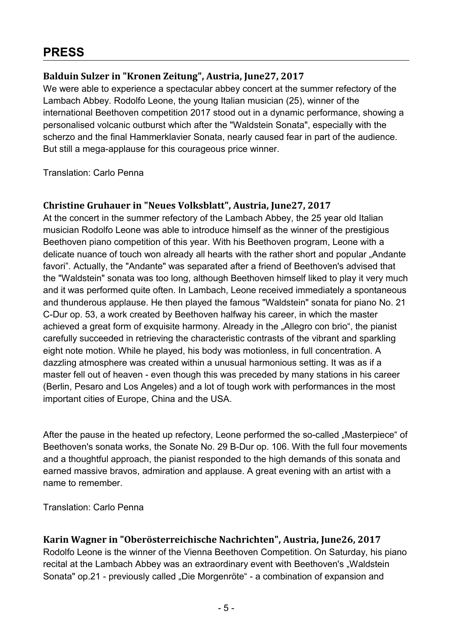### <span id="page-4-3"></span>**PRESS**

#### <span id="page-4-2"></span>**Balduin Sulzer in "Kronen Zeitung", Austria, June27, 2017**

We were able to experience a spectacular abbey concert at the summer refectory of the Lambach Abbey. Rodolfo Leone, the young Italian musician (25), winner of the international Beethoven competition 2017 stood out in a dynamic performance, showing a personalised volcanic outburst which after the "Waldstein Sonata", especially with the scherzo and the final Hammerklavier Sonata, nearly caused fear in part of the audience. But still a mega-applause for this courageous price winner.

Translation: Carlo Penna

#### <span id="page-4-1"></span>**Christine Gruhauer in "Neues Volksblatt", Austria, June27, 2017**

At the concert in the summer refectory of the Lambach Abbey, the 25 year old Italian musician Rodolfo Leone was able to introduce himself as the winner of the prestigious Beethoven piano competition of this year. With his Beethoven program, Leone with a delicate nuance of touch won already all hearts with the rather short and popular "Andante favori". Actually, the "Andante" was separated after a friend of Beethoven's advised that the "Waldstein" sonata was too long, although Beethoven himself liked to play it very much and it was performed quite often. In Lambach, Leone received immediately a spontaneous and thunderous applause. He then played the famous "Waldstein" sonata for piano No. 21 C-Dur op. 53, a work created by Beethoven halfway his career, in which the master achieved a great form of exquisite harmony. Already in the "Allegro con brio", the pianist carefully succeeded in retrieving the characteristic contrasts of the vibrant and sparkling eight note motion. While he played, his body was motionless, in full concentration. A dazzling atmosphere was created within a unusual harmonious setting. It was as if a master fell out of heaven - even though this was preceded by many stations in his career (Berlin, Pesaro and Los Angeles) and a lot of tough work with performances in the most important cities of Europe, China and the USA.

After the pause in the heated up refectory, Leone performed the so-called "Masterpiece" of Beethoven's sonata works, the Sonate No. 29 B-Dur op. 106. With the full four movements and a thoughtful approach, the pianist responded to the high demands of this sonata and earned massive bravos, admiration and applause. A great evening with an artist with a name to remember.

Translation: Carlo Penna

#### <span id="page-4-0"></span>**Karin Wagner in "Oberösterreichische Nachrichten", Austria, June26, 2017**

Rodolfo Leone is the winner of the Vienna Beethoven Competition. On Saturday, his piano recital at the Lambach Abbey was an extraordinary event with Beethoven's "Waldstein Sonata" op.21 - previously called "Die Morgenröte" - a combination of expansion and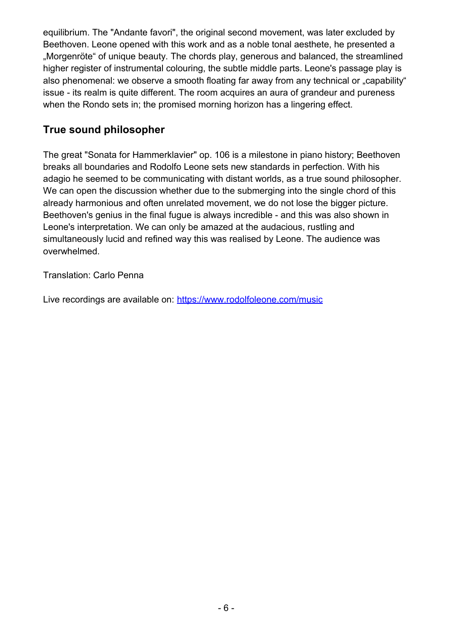equilibrium. The "Andante favori", the original second movement, was later excluded by Beethoven. Leone opened with this work and as a noble tonal aesthete, he presented a ..Morgenröte" of unique beauty. The chords play, generous and balanced, the streamlined higher register of instrumental colouring, the subtle middle parts. Leone's passage play is also phenomenal: we observe a smooth floating far away from any technical or "capability" issue - its realm is quite different. The room acquires an aura of grandeur and pureness when the Rondo sets in; the promised morning horizon has a lingering effect.

#### **True sound philosopher**

The great "Sonata for Hammerklavier" op. 106 is a milestone in piano history; Beethoven breaks all boundaries and Rodolfo Leone sets new standards in perfection. With his adagio he seemed to be communicating with distant worlds, as a true sound philosopher. We can open the discussion whether due to the submerging into the single chord of this already harmonious and often unrelated movement, we do not lose the bigger picture. Beethoven's genius in the final fugue is always incredible - and this was also shown in Leone's interpretation. We can only be amazed at the audacious, rustling and simultaneously lucid and refined way this was realised by Leone. The audience was overwhelmed.

Translation: Carlo Penna

Live recordings are available on:<https://www.rodolfoleone.com/music>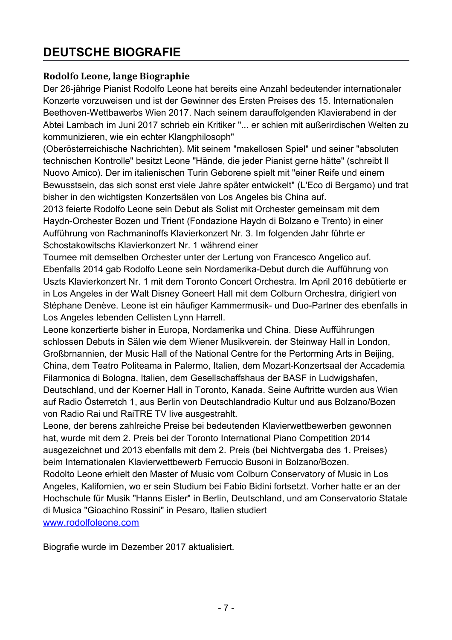## <span id="page-6-1"></span>**DEUTSCHE BIOGRAFIE**

#### <span id="page-6-0"></span>**Rodolfo Leone, lange Biographie**

Der 26-jährige Pianist Rodolfo Leone hat bereits eine Anzahl bedeutender internationaler Konzerte vorzuweisen und ist der Gewinner des Ersten Preises des 15. Internationalen Beethoven-Wettbawerbs Wien 2017. Nach seinem darauffolgenden Klavierabend in der Abtei Lambach im Juni 2017 schrieb ein Kritiker "... er schien mit außerirdischen Welten zu kommunizieren, wie ein echter Klangphilosoph"

(Oberösterreichische Nachrichten). Mit seinem "makellosen Spiel" und seiner "absoluten technischen Kontrolle" besitzt Leone "Hände, die jeder Pianist gerne hätte" (schreibt Il Nuovo Amico). Der im italienischen Turin Geborene spielt mit "einer Reife und einem Bewusstsein, das sich sonst erst viele Jahre später entwickelt" (L'Eco di Bergamo) und trat bisher in den wichtigsten Konzertsälen von Los Angeles bis China auf.

2013 feierte Rodolfo Leone sein Debut als Solist mit Orchester gemeinsam mit dem Haydn-Orchester Bozen und Trient (Fondazione Haydn di Bolzano e Trento) in einer Aufführung von Rachmaninoffs Klavierkonzert Nr. 3. Im folgenden Jahr führte er Schostakowitschs Klavierkonzert Nr. 1 während einer

Tournee mit demselben Orchester unter der Lertung von Francesco Angelico auf. Ebenfalls 2014 gab Rodolfo Leone sein Nordamerika-Debut durch die Aufführung von Uszts Klavierkonzert Nr. 1 mit dem Toronto Concert Orchestra. Im April 2016 debütierte er in Los Angeles in der Walt Disney Goneert Hall mit dem Colburn Orchestra, dirigiert von Stéphane Denève. Leone ist ein häufiger Kammermusik- und Duo-Partner des ebenfalls in Los Angeles lebenden Cellisten Lynn Harrell.

Leone konzertierte bisher in Europa, Nordamerika und China. Diese Aufführungen schlossen Debuts in Sälen wie dem Wiener Musikverein. der Steinway Hall in London, Großbrnannien, der Music Hall of the National Centre for the Pertorming Arts in Beijing, China, dem Teatro PoIiteama in Palermo, Italien, dem Mozart-Konzertsaal der Accademia Filarmonica di Bologna, Italien, dem Gesellschaffshaus der BASF in Ludwigshafen, Deutschland, und der Koerner Hall in Toronto, Kanada. Seine Auftritte wurden aus Wien auf Radio Österretch 1, aus Berlin von Deutschlandradio Kultur und aus Bolzano/Bozen von Radio Rai und RaiTRE TV live ausgestrahlt.

Leone, der berens zahlreiche Preise bei bedeutenden Klavierwettbewerben gewonnen hat, wurde mit dem 2. Preis bei der Toronto International Piano Competition 2014 ausgezeichnet und 2013 ebenfalls mit dem 2. Preis (bei Nichtvergaba des 1. Preises) beim Internationalen Klavierwettbewerb Ferruccio Busoni in Bolzano/Bozen.

Rodolto Leone erhielt den Master of Music vom Colburn Conservatory of Music in Los Angeles, Kalifornien, wo er sein Studium bei Fabio Bidini fortsetzt. Vorher hatte er an der Hochschule für Musik "Hanns Eisler" in Berlin, Deutschland, und am Conservatorio Statale di Musica "Gioachino Rossini" in Pesaro, Italien studiert [www.rodolfoleone.com](http://www.rodolfoleone.com/)

Biografie wurde im Dezember 2017 aktualisiert.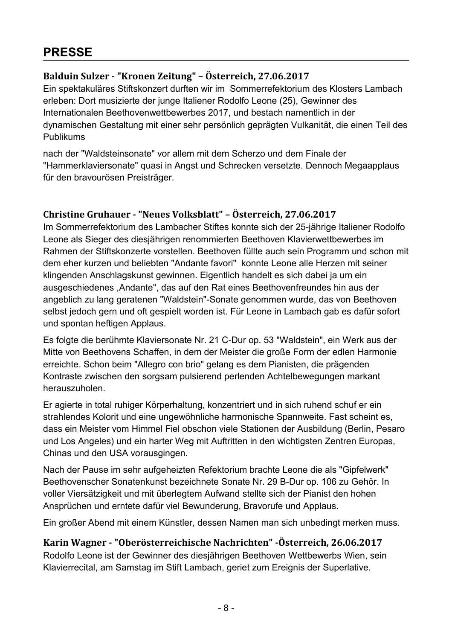## <span id="page-7-3"></span>**PRESSE**

#### <span id="page-7-2"></span>**Balduin Sulzer - "Kronen Zeitung" – Österreich, 27.06.2017**

Ein spektakuläres Stiftskonzert durften wir im Sommerrefektorium des Klosters Lambach erleben: Dort musizierte der junge Italiener Rodolfo Leone (25), Gewinner des Internationalen Beethovenwettbewerbes 2017, und bestach namentlich in der dynamischen Gestaltung mit einer sehr persönlich geprägten Vulkanität, die einen Teil des Publikums

nach der "Waldsteinsonate" vor allem mit dem Scherzo und dem Finale der "Hammerklaviersonate" quasi in Angst und Schrecken versetzte. Dennoch Megaapplaus für den bravourösen Preisträger.

#### <span id="page-7-1"></span>**Christine Gruhauer - "Neues Volksblatt" – Österreich, 27.06.2017**

Im Sommerrefektorium des Lambacher Stiftes konnte sich der 25-jährige Italiener Rodolfo Leone als Sieger des diesjährigen renommierten Beethoven Klavierwettbewerbes im Rahmen der Stiftskonzerte vorstellen. Beethoven füllte auch sein Programm und schon mit dem eher kurzen und beliebten "Andante favori" konnte Leone alle Herzen mit seiner klingenden Anschlagskunst gewinnen. Eigentlich handelt es sich dabei ja um ein ausgeschiedenes ,Andante", das auf den Rat eines Beethovenfreundes hin aus der angeblich zu lang geratenen "Waldstein"-Sonate genommen wurde, das von Beethoven selbst jedoch gern und oft gespielt worden ist. Für Leone in Lambach gab es dafür sofort und spontan heftigen Applaus.

Es folgte die berühmte Klaviersonate Nr. 21 C-Dur op. 53 "Waldstein", ein Werk aus der Mitte von Beethovens Schaffen, in dem der Meister die große Form der edlen Harmonie erreichte. Schon beim "Allegro con brio" gelang es dem Pianisten, die prägenden Kontraste zwischen den sorgsam pulsierend perlenden Achtelbewegungen markant herauszuholen.

Er agierte in total ruhiger Körperhaltung, konzentriert und in sich ruhend schuf er ein strahlendes Kolorit und eine ungewöhnliche harmonische Spannweite. Fast scheint es, dass ein Meister vom Himmel Fiel obschon viele Stationen der Ausbildung (Berlin, Pesaro und Los Angeles) und ein harter Weg mit Auftritten in den wichtigsten Zentren Europas, Chinas und den USA vorausgingen.

Nach der Pause im sehr aufgeheizten Refektorium brachte Leone die als "Gipfelwerk" Beethovenscher Sonatenkunst bezeichnete Sonate Nr. 29 B-Dur op. 106 zu Gehör. In voller Viersätzigkeit und mit überlegtem Aufwand stellte sich der Pianist den hohen Ansprüchen und erntete dafür viel Bewunderung, Bravorufe und Applaus.

Ein großer Abend mit einem Künstler, dessen Namen man sich unbedingt merken muss.

#### <span id="page-7-0"></span>**Karin Wagner - "Oberösterreichische Nachrichten" -Österreich, 26.06.2017**

Rodolfo Leone ist der Gewinner des diesjährigen Beethoven Wettbewerbs Wien, sein Klavierrecital, am Samstag im Stift Lambach, geriet zum Ereignis der Superlative.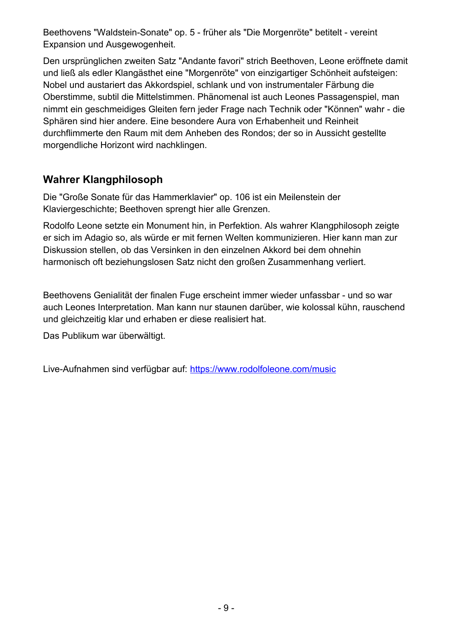Beethovens "Waldstein-Sonate" op. 5 - früher als "Die Morgenröte" betitelt - vereint Expansion und Ausgewogenheit.

Den ursprünglichen zweiten Satz "Andante favori" strich Beethoven, Leone eröffnete damit und ließ als edler Klangästhet eine "Morgenröte" von einzigartiger Schönheit aufsteigen: Nobel und austariert das Akkordspiel, schlank und von instrumentaler Färbung die Oberstimme, subtil die Mittelstimmen. Phänomenal ist auch Leones Passagenspiel, man nimmt ein geschmeidiges Gleiten fern jeder Frage nach Technik oder "Können" wahr - die Sphären sind hier andere. Eine besondere Aura von Erhabenheit und Reinheit durchflimmerte den Raum mit dem Anheben des Rondos; der so in Aussicht gestellte morgendliche Horizont wird nachklingen.

#### **Wahrer Klangphilosoph**

Die "Große Sonate für das Hammerklavier" op. 106 ist ein Meilenstein der Klaviergeschichte; Beethoven sprengt hier alle Grenzen.

Rodolfo Leone setzte ein Monument hin, in Perfektion. Als wahrer Klangphilosoph zeigte er sich im Adagio so, als würde er mit fernen Welten kommunizieren. Hier kann man zur Diskussion stellen, ob das Versinken in den einzelnen Akkord bei dem ohnehin harmonisch oft beziehungslosen Satz nicht den großen Zusammenhang verliert.

Beethovens Genialität der finalen Fuge erscheint immer wieder unfassbar - und so war auch Leones Interpretation. Man kann nur staunen darüber, wie kolossal kühn, rauschend und gleichzeitig klar und erhaben er diese realisiert hat.

Das Publikum war überwältigt.

Live-Aufnahmen sind verfügbar auf: <https://www.rodolfoleone.com/music>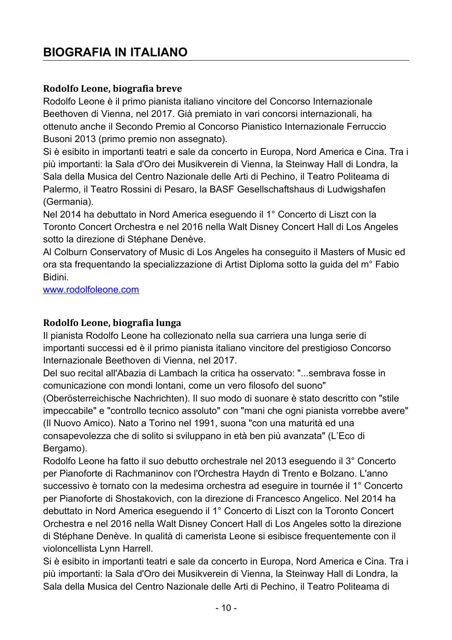## <span id="page-9-2"></span>**BIOGRAFIA IN ITALIANO**

#### <span id="page-9-1"></span>**Rodolfo Leone, biografia breve**

Rodolfo Leone è il primo pianista italiano vincitore del Concorso Internazionale Beethoven di Vienna, nel 2017. Già premiato in vari concorsi internazionali, ha ottenuto anche il Secondo Premio al Concorso Pianistico Internazionale Ferruccio Busoni 2013 (primo premio non assegnato).

Si è esibito in importanti teatri e sale da concerto in Europa, Nord America e Cina. Tra i più importanti: la Sala d'Oro dei Musikverein di Vienna, la Steinway Hall di Londra, la Sala della Musica del Centro Nazionale delle Arti di Pechino, il Teatro Politeama di Palermo, il Teatro Rossini di Pesaro, la BASF Gesellschaftshaus di Ludwigshafen (Germania).

Nel 2014 ha debuttato in Nord America eseguendo il 1° Concerto di Liszt con la Toronto Concert Orchestra e nel 2016 nella Walt Disney Concert Hall di Los Angeles sotto la direzione di Stéphane Denève.

Al Colburn Conservatory of Music di Los Angeles ha conseguito il Masters of Music ed ora sta frequentando la specializzazione di Artist Diploma sotto la guida del m° Fabio Bidini.

[www.rodolfoleone.com](http://www.rodolfoleone.com/)

#### <span id="page-9-0"></span>**Rodolfo Leone, biografia lunga**

Il pianista Rodolfo Leone ha collezionato nella sua carriera una lunga serie di importanti successi ed è il primo pianista italiano vincitore del prestigioso Concorso Internazionale Beethoven di Vienna, nel 2017.

Del suo recital all'Abazia di Lambach la critica ha osservato: "...sembrava fosse in comunicazione con mondi lontani, come un vero filosofo del suono"

(Oberösterreichische Nachrichten). Il suo modo di suonare è stato descritto con "stile impeccabile" e "controllo tecnico assoluto" con "mani che ogni pianista vorrebbe avere" (Il Nuovo Amico). Nato a Torino nel 1991, suona "con una maturità ed una consapevolezza che di solito si sviluppano in età ben più avanzata" (L'Eco di Bergamo).

Rodolfo Leone ha fatto il suo debutto orchestrale nel 2013 eseguendo il 3° Concerto per Pianoforte di Rachmaninov con l'Orchestra Haydn di Trento e Bolzano. L'anno successivo è tornato con la medesima orchestra ad eseguire in tournée il 1° Concerto per Pianoforte di Shostakovich, con la direzione di Francesco Angelico. Nel 2014 ha debuttato in Nord America eseguendo il 1° Concerto di Liszt con la Toronto Concert Orchestra e nel 2016 nella Walt Disney Concert Hall di Los Angeles sotto la direzione di Stéphane Denève. In qualità di camerista Leone si esibisce frequentemente con il violoncellista Lynn Harrell.

Si è esibito in importanti teatri e sale da concerto in Europa, Nord America e Cina. Tra i più importanti: la Sala d'Oro dei Musikverein di Vienna, la Steinway Hall di Londra, la Sala della Musica del Centro Nazionale delle Arti di Pechino, il Teatro Politeama di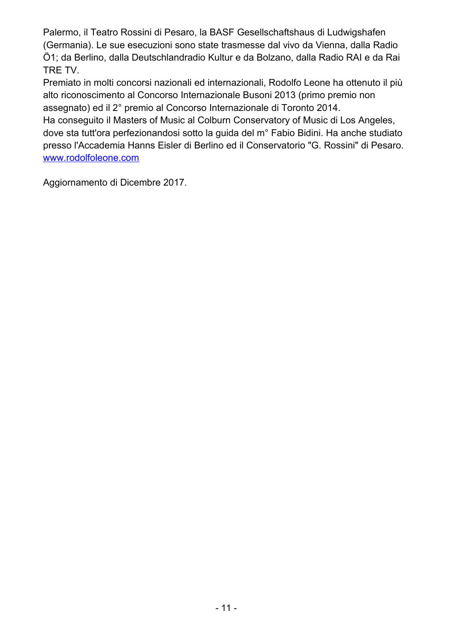Palermo, il Teatro Rossini di Pesaro, la BASF Gesellschaftshaus di Ludwigshafen (Germania). Le sue esecuzioni sono state trasmesse dal vivo da Vienna, dalla Radio Ö1; da Berlino, dalla Deutschlandradio Kultur e da Bolzano, dalla Radio RAI e da Rai TRE TV.

Premiato in molti concorsi nazionali ed internazionali, Rodolfo Leone ha ottenuto il più alto riconoscimento al Concorso Internazionale Busoni 2013 (primo premio non assegnato) ed il 2° premio al Concorso Internazionale di Toronto 2014.

Ha conseguito il Masters of Music al Colburn Conservatory of Music di Los Angeles, dove sta tutt'ora perfezionandosi sotto la guida del m° Fabio Bidini. Ha anche studiato presso l'Accademia Hanns Eisler di Berlino ed il Conservatorio "G. Rossini" di Pesaro. [www.rodolfoleone.com](http://www.rodolfoleone.com/)

Aggiornamento di Dicembre 2017.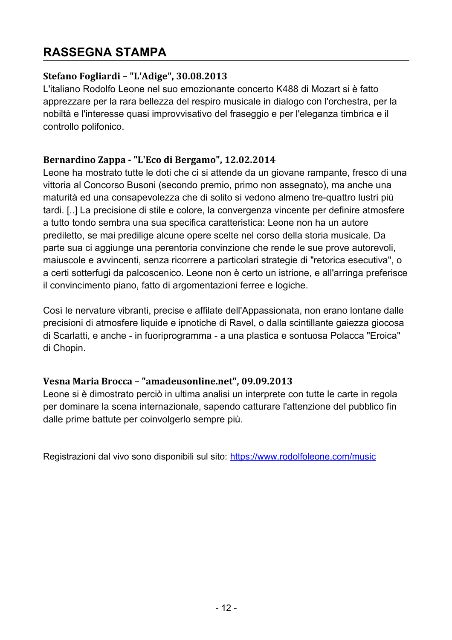## <span id="page-11-3"></span>**RASSEGNA STAMPA**

#### <span id="page-11-2"></span>**Stefano Fogliardi – "L'Adige", 30.08.2013**

L'italiano Rodolfo Leone nel suo emozionante concerto K488 di Mozart si è fatto apprezzare per la rara bellezza del respiro musicale in dialogo con l'orchestra, per la nobiltà e l'interesse quasi improvvisativo del fraseggio e per l'eleganza timbrica e il controllo polifonico.

#### <span id="page-11-1"></span>**Bernardino Zappa - "L'Eco di Bergamo", 12.02.2014**

Leone ha mostrato tutte le doti che ci si attende da un giovane rampante, fresco di una vittoria al Concorso Busoni (secondo premio, primo non assegnato), ma anche una maturità ed una consapevolezza che di solito si vedono almeno tre-quattro lustri più tardi. [..] La precisione di stile e colore, la convergenza vincente per definire atmosfere a tutto tondo sembra una sua specifica caratteristica: Leone non ha un autore prediletto, se mai predilige alcune opere scelte nel corso della storia musicale. Da parte sua ci aggiunge una perentoria convinzione che rende le sue prove autorevoli, maiuscole e avvincenti, senza ricorrere a particolari strategie di "retorica esecutiva", o a certi sotterfugi da palcoscenico. Leone non è certo un istrione, e all'arringa preferisce il convincimento piano, fatto di argomentazioni ferree e logiche.

Così le nervature vibranti, precise e affilate dell'Appassionata, non erano lontane dalle precisioni di atmosfere liquide e ipnotiche di Ravel, o dalla scintillante gaiezza giocosa di Scarlatti, e anche - in fuoriprogramma - a una plastica e sontuosa Polacca "Eroica" di Chopin.

#### <span id="page-11-0"></span>**Vesna Maria Brocca – "amadeusonline.net", 09.09.2013**

Leone si è dimostrato perciò in ultima analisi un interprete con tutte le carte in regola per dominare la scena internazionale, sapendo catturare l'attenzione del pubblico fin dalle prime battute per coinvolgerlo sempre più.

Registrazioni dal vivo sono disponibili sul sito:<https://www.rodolfoleone.com/music>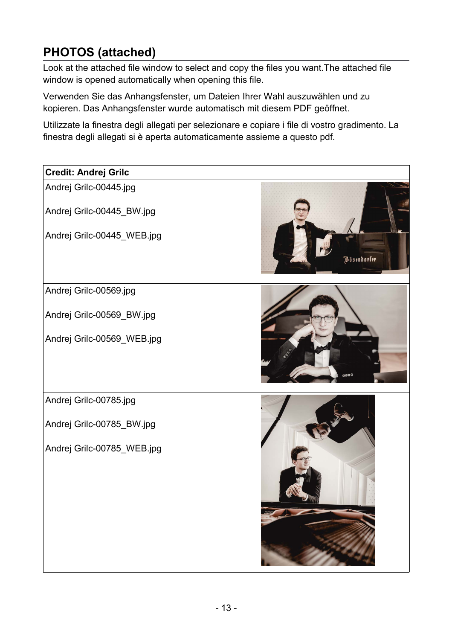## <span id="page-12-0"></span>**PHOTOS (attached)**

Look at the attached file window to select and copy the files you want.The attached file window is opened automatically when opening this file.

Verwenden Sie das Anhangsfenster, um Dateien Ihrer Wahl auszuwählen und zu kopieren. Das Anhangsfenster wurde automatisch mit diesem PDF geöffnet.

Utilizzate la finestra degli allegati per selezionare e copiare i file di vostro gradimento. La finestra degli allegati si è aperta automaticamente assieme a questo pdf.